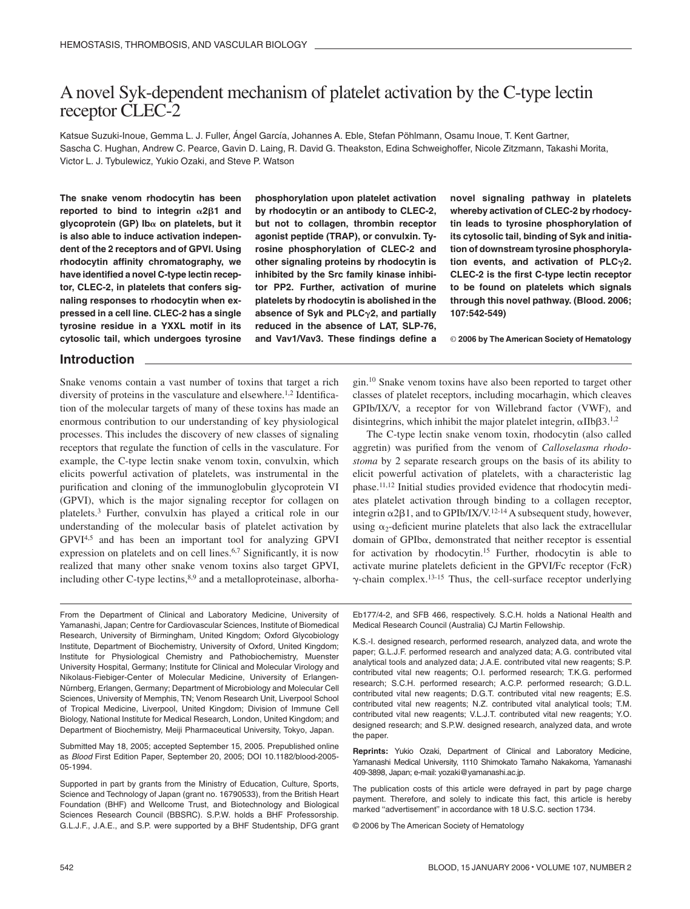# A novel Syk-dependent mechanism of platelet activation by the C-type lectin receptor CLEC-2

Katsue Suzuki-Inoue, Gemma L. J. Fuller, Ángel García, Johannes A. Eble, Stefan Pöhlmann, Osamu Inoue, T. Kent Gartner, Sascha C. Hughan, Andrew C. Pearce, Gavin D. Laing, R. David G. Theakston, Edina Schweighoffer, Nicole Zitzmann, Takashi Morita, Victor L. J. Tybulewicz, Yukio Ozaki, and Steve P. Watson

**The snake venom rhodocytin has been** reported to bind to integrin  $\alpha$ 2 $\beta$ 1 and **glycoprotein (GP) Ib on platelets, but it is also able to induce activation independent of the 2 receptors and of GPVI. Using rhodocytin affinity chromatography, we have identified a novel C-type lectin receptor, CLEC-2, in platelets that confers signaling responses to rhodocytin when expressed in a cell line. CLEC-2 has a single tyrosine residue in a YXXL motif in its cytosolic tail, which undergoes tyrosine**

**phosphorylation upon platelet activation by rhodocytin or an antibody to CLEC-2, but not to collagen, thrombin receptor agonist peptide (TRAP), or convulxin. Tyrosine phosphorylation of CLEC-2 and other signaling proteins by rhodocytin is inhibited by the Src family kinase inhibitor PP2. Further, activation of murine platelets by rhodocytin is abolished in the absence of Syk and PLC2, and partially reduced in the absence of LAT, SLP-76, and Vav1/Vav3. These findings define a**

**novel signaling pathway in platelets whereby activation of CLEC-2 by rhodocytin leads to tyrosine phosphorylation of its cytosolic tail, binding of Syk and initiation of downstream tyrosine phosphorylation events, and activation of PLC2. CLEC-2 is the first C-type lectin receptor to be found on platelets which signals through this novel pathway. (Blood. 2006; 107:542-549)**

© **2006 by The American Society of Hematology**

## **Introduction**

Snake venoms contain a vast number of toxins that target a rich diversity of proteins in the vasculature and elsewhere.<sup>1,2</sup> Identification of the molecular targets of many of these toxins has made an enormous contribution to our understanding of key physiological processes. This includes the discovery of new classes of signaling receptors that regulate the function of cells in the vasculature. For example, the C-type lectin snake venom toxin, convulxin, which elicits powerful activation of platelets, was instrumental in the purification and cloning of the immunoglobulin glycoprotein VI (GPVI), which is the major signaling receptor for collagen on platelets.3 Further, convulxin has played a critical role in our understanding of the molecular basis of platelet activation by GPVI4,5 and has been an important tool for analyzing GPVI expression on platelets and on cell lines.<sup>6,7</sup> Significantly, it is now realized that many other snake venom toxins also target GPVI, including other C-type lectins, $8,9$  and a metalloproteinase, alborhagin.10 Snake venom toxins have also been reported to target other classes of platelet receptors, including mocarhagin, which cleaves GPIb/IX/V, a receptor for von Willebrand factor (VWF), and disintegrins, which inhibit the major platelet integrin,  $\alpha$ IIb $\beta$ 3.<sup>1,2</sup>

The C-type lectin snake venom toxin, rhodocytin (also called aggretin) was purified from the venom of *Calloselasma rhodostoma* by 2 separate research groups on the basis of its ability to elicit powerful activation of platelets, with a characteristic lag phase.11,12 Initial studies provided evidence that rhodocytin mediates platelet activation through binding to a collagen receptor, integrin  $\alpha$ 2 $\beta$ 1, and to GPIb/IX/V.<sup>12-14</sup> A subsequent study, however, using  $\alpha_2$ -deficient murine platelets that also lack the extracellular domain of  $GPIb\alpha$ , demonstrated that neither receptor is essential for activation by rhodocytin.15 Further, rhodocytin is able to activate murine platelets deficient in the GPVI/Fc receptor (FcR)  $\gamma$ -chain complex.<sup>13-15</sup> Thus, the cell-surface receptor underlying

From the Department of Clinical and Laboratory Medicine, University of Yamanashi, Japan; Centre for Cardiovascular Sciences, Institute of Biomedical Research, University of Birmingham, United Kingdom; Oxford Glycobiology Institute, Department of Biochemistry, University of Oxford, United Kingdom; Institute for Physiological Chemistry and Pathobiochemistry, Muenster University Hospital, Germany; Institute for Clinical and Molecular Virology and Nikolaus-Fiebiger-Center of Molecular Medicine, University of Erlangen-Nürnberg, Erlangen, Germany; Department of Microbiology and Molecular Cell Sciences, University of Memphis, TN; Venom Research Unit, Liverpool School of Tropical Medicine, Liverpool, United Kingdom; Division of Immune Cell Biology, National Institute for Medical Research, London, United Kingdom; and Department of Biochemistry, Meiji Pharmaceutical University, Tokyo, Japan.

Submitted May 18, 2005; accepted September 15, 2005. Prepublished online as *Blood* First Edition Paper, September 20, 2005; DOI 10.1182/blood-2005- 05-1994.

Supported in part by grants from the Ministry of Education, Culture, Sports, Science and Technology of Japan (grant no. 16790533), from the British Heart Foundation (BHF) and Wellcome Trust, and Biotechnology and Biological Sciences Research Council (BBSRC). S.P.W. holds a BHF Professorship. G.L.J.F., J.A.E., and S.P. were supported by a BHF Studentship, DFG grant Eb177/4-2, and SFB 466, respectively. S.C.H. holds a National Health and Medical Research Council (Australia) CJ Martin Fellowship.

K.S.-I. designed research, performed research, analyzed data, and wrote the paper; G.L.J.F. performed research and analyzed data; A.G. contributed vital analytical tools and analyzed data; J.A.E. contributed vital new reagents; S.P. contributed vital new reagents; O.I. performed research; T.K.G. performed research; S.C.H. performed research; A.C.P. performed research; G.D.L. contributed vital new reagents; D.G.T. contributed vital new reagents; E.S. contributed vital new reagents; N.Z. contributed vital analytical tools; T.M. contributed vital new reagents; V.L.J.T. contributed vital new reagents; Y.O. designed research; and S.P.W. designed research, analyzed data, and wrote the paper.

**Reprints:** Yukio Ozaki, Department of Clinical and Laboratory Medicine, Yamanashi Medical University, 1110 Shimokato Tamaho Nakakoma, Yamanashi 409-3898, Japan; e-mail: yozaki@yamanashi.ac.jp.

The publication costs of this article were defrayed in part by page charge payment. Therefore, and solely to indicate this fact, this article is hereby marked "advertisement" in accordance with 18 U.S.C. section 1734.

© 2006 by The American Society of Hematology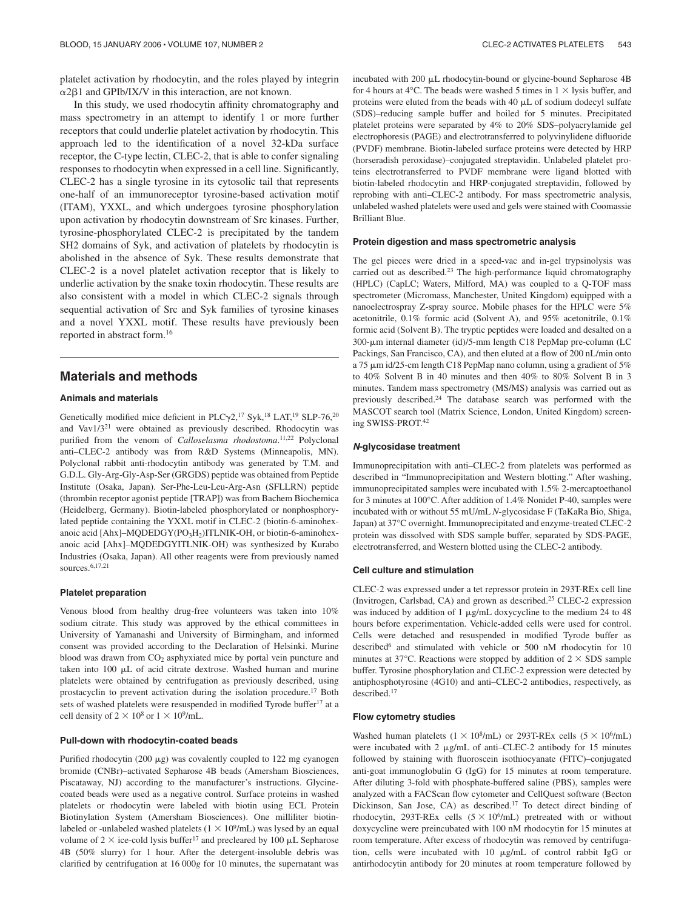platelet activation by rhodocytin, and the roles played by integrin  $\alpha$ 2 $\beta$ 1 and GPIb/IX/V in this interaction, are not known.

In this study, we used rhodocytin affinity chromatography and mass spectrometry in an attempt to identify 1 or more further receptors that could underlie platelet activation by rhodocytin. This approach led to the identification of a novel 32-kDa surface receptor, the C-type lectin, CLEC-2, that is able to confer signaling responses to rhodocytin when expressed in a cell line. Significantly, CLEC-2 has a single tyrosine in its cytosolic tail that represents one-half of an immunoreceptor tyrosine-based activation motif (ITAM), YXXL, and which undergoes tyrosine phosphorylation upon activation by rhodocytin downstream of Src kinases. Further, tyrosine-phosphorylated CLEC-2 is precipitated by the tandem SH2 domains of Syk, and activation of platelets by rhodocytin is abolished in the absence of Syk. These results demonstrate that CLEC-2 is a novel platelet activation receptor that is likely to underlie activation by the snake toxin rhodocytin. These results are also consistent with a model in which CLEC-2 signals through sequential activation of Src and Syk families of tyrosine kinases and a novel YXXL motif. These results have previously been reported in abstract form.16

# **Materials and methods**

## **Animals and materials**

Genetically modified mice deficient in PLC $\gamma$ 2,<sup>17</sup> Syk,<sup>18</sup> LAT,<sup>19</sup> SLP-76,<sup>20</sup> and Vav1/321 were obtained as previously described. Rhodocytin was purified from the venom of *Calloselasma rhodostoma*.<sup>11,22</sup> Polyclonal anti–CLEC-2 antibody was from R&D Systems (Minneapolis, MN). Polyclonal rabbit anti-rhodocytin antibody was generated by T.M. and G.D.L. Gly-Arg-Gly-Asp-Ser (GRGDS) peptide was obtained from Peptide Institute (Osaka, Japan). Ser-Phe-Leu-Leu-Arg-Asn (SFLLRN) peptide (thrombin receptor agonist peptide [TRAP]) was from Bachem Biochemica (Heidelberg, Germany). Biotin-labeled phosphorylated or nonphosphorylated peptide containing the YXXL motif in CLEC-2 (biotin-6-aminohexanoic acid [Ahx]–MQDEDGY(PO3H2)ITLNIK-OH, or biotin-6-aminohexanoic acid [Ahx]–MQDEDGYITLNIK-OH) was synthesized by Kurabo Industries (Osaka, Japan). All other reagents were from previously named sources.6,17,21

## **Platelet preparation**

Venous blood from healthy drug-free volunteers was taken into 10% sodium citrate. This study was approved by the ethical committees in University of Yamanashi and University of Birmingham, and informed consent was provided according to the Declaration of Helsinki. Murine blood was drawn from  $CO<sub>2</sub>$  asphyxiated mice by portal vein puncture and taken into  $100 \mu L$  of acid citrate dextrose. Washed human and murine platelets were obtained by centrifugation as previously described, using prostacyclin to prevent activation during the isolation procedure.17 Both sets of washed platelets were resuspended in modified Tyrode buffer<sup>17</sup> at a cell density of  $2 \times 10^8$  or  $1 \times 10^9$ /mL.

## **Pull-down with rhodocytin-coated beads**

Purified rhodocytin (200  $\mu$ g) was covalently coupled to 122 mg cyanogen bromide (CNBr)–activated Sepharose 4B beads (Amersham Biosciences, Piscataway, NJ) according to the manufacturer's instructions. Glycinecoated beads were used as a negative control. Surface proteins in washed platelets or rhodocytin were labeled with biotin using ECL Protein Biotinylation System (Amersham Biosciences). One milliliter biotinlabeled or -unlabeled washed platelets ( $1 \times 10^9$ /mL) was lysed by an equal volume of  $2 \times$  ice-cold lysis buffer<sup>17</sup> and precleared by 100  $\mu$ L Sepharose 4B (50% slurry) for 1 hour. After the detergent-insoluble debris was clarified by centrifugation at 16 000*g* for 10 minutes, the supernatant was incubated with  $200 \mu L$  rhodocytin-bound or glycine-bound Sepharose  $4B$ for 4 hours at 4 $\degree$ C. The beads were washed 5 times in  $1 \times$  lysis buffer, and proteins were eluted from the beads with  $40 \mu L$  of sodium dodecyl sulfate (SDS)–reducing sample buffer and boiled for 5 minutes. Precipitated platelet proteins were separated by 4% to 20% SDS–polyacrylamide gel electrophoresis (PAGE) and electrotransferred to polyvinylidene difluoride (PVDF) membrane. Biotin-labeled surface proteins were detected by HRP (horseradish peroxidase)–conjugated streptavidin. Unlabeled platelet proteins electrotransferred to PVDF membrane were ligand blotted with biotin-labeled rhodocytin and HRP-conjugated streptavidin, followed by reprobing with anti–CLEC-2 antibody. For mass spectrometric analysis, unlabeled washed platelets were used and gels were stained with Coomassie Brilliant Blue.

#### **Protein digestion and mass spectrometric analysis**

The gel pieces were dried in a speed-vac and in-gel trypsinolysis was carried out as described.23 The high-performance liquid chromatography (HPLC) (CapLC; Waters, Milford, MA) was coupled to a Q-TOF mass spectrometer (Micromass, Manchester, United Kingdom) equipped with a nanoelectrospray Z-spray source. Mobile phases for the HPLC were 5% acetonitrile, 0.1% formic acid (Solvent A), and 95% acetonitrile, 0.1% formic acid (Solvent B). The tryptic peptides were loaded and desalted on a 300-µm internal diameter (id)/5-mm length C18 PepMap pre-column (LC Packings, San Francisco, CA), and then eluted at a flow of 200 nL/min onto a 75 µm id/25-cm length C18 PepMap nano column, using a gradient of 5% to 40% Solvent B in 40 minutes and then 40% to 80% Solvent B in 3 minutes. Tandem mass spectrometry (MS/MS) analysis was carried out as previously described.24 The database search was performed with the MASCOT search tool (Matrix Science, London, United Kingdom) screening SWISS-PROT.42

#### *N***-glycosidase treatment**

Immunoprecipitation with anti–CLEC-2 from platelets was performed as described in "Immunoprecipitation and Western blotting." After washing, immunoprecipitated samples were incubated with 1.5% 2-mercaptoethanol for 3 minutes at 100°C. After addition of 1.4% Nonidet P-40, samples were incubated with or without 55 mU/mL *N*-glycosidase F (TaKaRa Bio, Shiga, Japan) at 37°C overnight. Immunoprecipitated and enzyme-treated CLEC-2 protein was dissolved with SDS sample buffer, separated by SDS-PAGE, electrotransferred, and Western blotted using the CLEC-2 antibody.

#### **Cell culture and stimulation**

CLEC-2 was expressed under a tet repressor protein in 293T-REx cell line (Invitrogen, Carlsbad, CA) and grown as described.25 CLEC-2 expression was induced by addition of 1  $\mu$ g/mL doxycycline to the medium 24 to 48 hours before experimentation. Vehicle-added cells were used for control. Cells were detached and resuspended in modified Tyrode buffer as described<sup>6</sup> and stimulated with vehicle or 500 nM rhodocytin for 10 minutes at 37°C. Reactions were stopped by addition of  $2 \times$  SDS sample buffer. Tyrosine phosphorylation and CLEC-2 expression were detected by antiphosphotyrosine (4G10) and anti–CLEC-2 antibodies, respectively, as described.17

### **Flow cytometry studies**

Washed human platelets ( $1 \times 10^8$ /mL) or 293T-REx cells ( $5 \times 10^6$ /mL) were incubated with 2  $\mu$ g/mL of anti–CLEC-2 antibody for 15 minutes followed by staining with fluoroscein isothiocyanate (FITC)–conjugated anti-goat immunoglobulin G (IgG) for 15 minutes at room temperature. After diluting 3-fold with phosphate-buffered saline (PBS), samples were analyzed with a FACScan flow cytometer and CellQuest software (Becton Dickinson, San Jose, CA) as described.<sup>17</sup> To detect direct binding of rhodocytin, 293T-REx cells  $(5 \times 10^6/\text{mL})$  pretreated with or without doxycycline were preincubated with 100 nM rhodocytin for 15 minutes at room temperature. After excess of rhodocytin was removed by centrifugation, cells were incubated with  $10 \mu g/mL$  of control rabbit IgG or antirhodocytin antibody for 20 minutes at room temperature followed by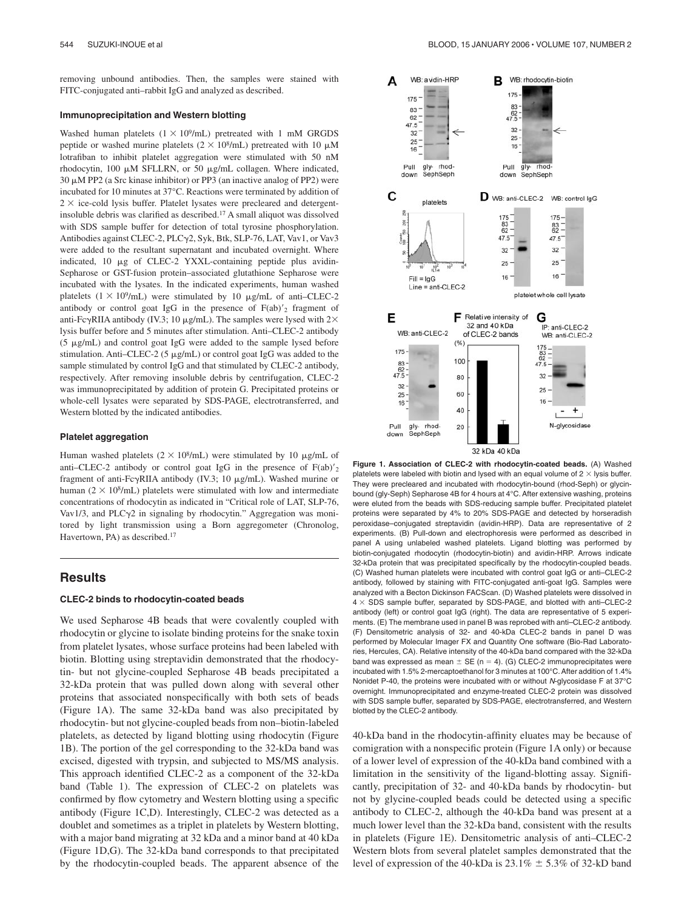removing unbound antibodies. Then, the samples were stained with FITC-conjugated anti–rabbit IgG and analyzed as described.

#### **Immunoprecipitation and Western blotting**

Washed human platelets  $(1 \times 10^9/\text{mL})$  pretreated with 1 mM GRGDS peptide or washed murine platelets ( $2 \times 10^8$ /mL) pretreated with 10  $\mu$ M lotrafiban to inhibit platelet aggregation were stimulated with 50 nM rhodocytin, 100  $\mu$ M SFLLRN, or 50  $\mu$ g/mL collagen. Where indicated,  $30 \mu$ M PP2 (a Src kinase inhibitor) or PP3 (an inactive analog of PP2) were incubated for 10 minutes at 37°C. Reactions were terminated by addition of  $2 \times$  ice-cold lysis buffer. Platelet lysates were precleared and detergentinsoluble debris was clarified as described.17 A small aliquot was dissolved with SDS sample buffer for detection of total tyrosine phosphorylation. Antibodies against CLEC-2, PLCγ2, Syk, Btk, SLP-76, LAT, Vav1, or Vav3 were added to the resultant supernatant and incubated overnight. Where indicated, 10  $\mu$ g of CLEC-2 YXXL-containing peptide plus avidin-Sepharose or GST-fusion protein–associated glutathione Sepharose were incubated with the lysates. In the indicated experiments, human washed platelets  $(1 \times 10^9$ /mL) were stimulated by 10  $\mu$ g/mL of anti–CLEC-2 antibody or control goat IgG in the presence of  $F(ab)'_2$  fragment of anti-Fc $\gamma$ RIIA antibody (IV.3; 10 µg/mL). The samples were lysed with 2 $\times$ lysis buffer before and 5 minutes after stimulation. Anti–CLEC-2 antibody  $(5 \mu g/mL)$  and control goat IgG were added to the sample lysed before stimulation. Anti-CLEC-2 (5  $\mu$ g/mL) or control goat IgG was added to the sample stimulated by control IgG and that stimulated by CLEC-2 antibody, respectively. After removing insoluble debris by centrifugation, CLEC-2 was immunoprecipitated by addition of protein G. Precipitated proteins or whole-cell lysates were separated by SDS-PAGE, electrotransferred, and Western blotted by the indicated antibodies.

#### **Platelet aggregation**

Human washed platelets ( $2 \times 10^8$ /mL) were stimulated by 10  $\mu$ g/mL of anti–CLEC-2 antibody or control goat IgG in the presence of  $F(ab)'_2$ fragment of anti-Fc $\gamma$ RIIA antibody (IV.3; 10  $\mu$ g/mL). Washed murine or human ( $2 \times 10^8$ /mL) platelets were stimulated with low and intermediate concentrations of rhodocytin as indicated in "Critical role of LAT, SLP-76, Vav1/3, and PLC $\gamma$ 2 in signaling by rhodocytin." Aggregation was monitored by light transmission using a Born aggregometer (Chronolog, Havertown, PA) as described.17

## **Results**

### **CLEC-2 binds to rhodocytin-coated beads**

We used Sepharose 4B beads that were covalently coupled with rhodocytin or glycine to isolate binding proteins for the snake toxin from platelet lysates, whose surface proteins had been labeled with biotin. Blotting using streptavidin demonstrated that the rhodocytin- but not glycine-coupled Sepharose 4B beads precipitated a 32-kDa protein that was pulled down along with several other proteins that associated nonspecifically with both sets of beads (Figure 1A). The same 32-kDa band was also precipitated by rhodocytin- but not glycine-coupled beads from non–biotin-labeled platelets, as detected by ligand blotting using rhodocytin (Figure 1B). The portion of the gel corresponding to the 32-kDa band was excised, digested with trypsin, and subjected to MS/MS analysis. This approach identified CLEC-2 as a component of the 32-kDa band (Table 1). The expression of CLEC-2 on platelets was confirmed by flow cytometry and Western blotting using a specific antibody (Figure 1C,D). Interestingly, CLEC-2 was detected as a doublet and sometimes as a triplet in platelets by Western blotting, with a major band migrating at 32 kDa and a minor band at 40 kDa (Figure 1D,G). The 32-kDa band corresponds to that precipitated by the rhodocytin-coupled beads. The apparent absence of the



**Figure 1. Association of CLEC-2 with rhodocytin-coated beads.** (A) Washed platelets were labeled with biotin and lysed with an equal volume of  $2 \times$  lysis buffer. They were precleared and incubated with rhodocytin-bound (rhod-Seph) or glycinbound (gly-Seph) Sepharose 4B for 4 hours at 4°C. After extensive washing, proteins were eluted from the beads with SDS-reducing sample buffer. Precipitated platelet proteins were separated by 4% to 20% SDS-PAGE and detected by horseradish peroxidase–conjugated streptavidin (avidin-HRP). Data are representative of 2 experiments. (B) Pull-down and electrophoresis were performed as described in panel A using unlabeled washed platelets. Ligand blotting was performed by biotin-conjugated rhodocytin (rhodocytin-biotin) and avidin-HRP. Arrows indicate 32-kDa protein that was precipitated specifically by the rhodocytin-coupled beads. (C) Washed human platelets were incubated with control goat IgG or anti–CLEC-2 antibody, followed by staining with FITC-conjugated anti-goat IgG. Samples were analyzed with a Becton Dickinson FACScan. (D) Washed platelets were dissolved in  $4 \times$  SDS sample buffer, separated by SDS-PAGE, and blotted with anti–CLEC-2 antibody (left) or control goat IgG (right). The data are representative of 5 experiments. (E) The membrane used in panel B was reprobed with anti–CLEC-2 antibody. (F) Densitometric analysis of 32- and 40-kDa CLEC-2 bands in panel D was performed by Molecular Imager FX and Quantity One software (Bio-Rad Laboratories, Hercules, CA). Relative intensity of the 40-kDa band compared with the 32-kDa band was expressed as mean  $\pm$  SE (n = 4). (G) CLEC-2 immunoprecipitates were incubated with 1.5% 2-mercaptoethanol for 3 minutes at 100°C. After addition of 1.4% Nonidet P-40, the proteins were incubated with or without *N*-glycosidase F at 37°C overnight. Immunoprecipitated and enzyme-treated CLEC-2 protein was dissolved with SDS sample buffer, separated by SDS-PAGE, electrotransferred, and Western blotted by the CLEC-2 antibody.

40-kDa band in the rhodocytin-affinity eluates may be because of comigration with a nonspecific protein (Figure 1A only) or because of a lower level of expression of the 40-kDa band combined with a limitation in the sensitivity of the ligand-blotting assay. Significantly, precipitation of 32- and 40-kDa bands by rhodocytin- but not by glycine-coupled beads could be detected using a specific antibody to CLEC-2, although the 40-kDa band was present at a much lower level than the 32-kDa band, consistent with the results in platelets (Figure 1E). Densitometric analysis of anti–CLEC-2 Western blots from several platelet samples demonstrated that the level of expression of the 40-kDa is  $23.1\% \pm 5.3\%$  of 32-kD band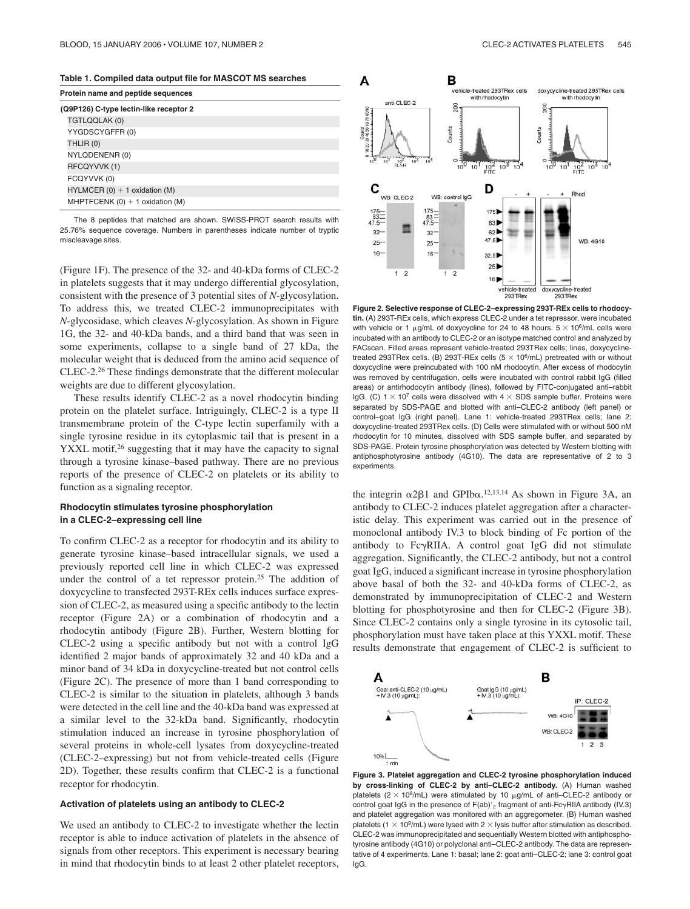**Table 1. Compiled data output file for MASCOT MS searches**

| Protein name and peptide sequences     |                                     |
|----------------------------------------|-------------------------------------|
| (Q9P126) C-type lectin-like receptor 2 |                                     |
|                                        | TGTLQQLAK (0)                       |
|                                        | YYGDSCYGFFR (0)                     |
|                                        | THLIR (0)                           |
|                                        | NYLQDENENR (0)                      |
|                                        | RFCQYVVK (1)                        |
|                                        | FCQYVVK (0)                         |
|                                        | $HYLMCER (0) + 1 oxidation (M)$     |
|                                        | MHPTFCENK $(0) + 1$ oxidation $(M)$ |
|                                        |                                     |

The 8 peptides that matched are shown. SWISS-PROT search results with 25.76% sequence coverage. Numbers in parentheses indicate number of tryptic miscleavage sites.

(Figure 1F). The presence of the 32- and 40-kDa forms of CLEC-2 in platelets suggests that it may undergo differential glycosylation, consistent with the presence of 3 potential sites of *N*-glycosylation. To address this, we treated CLEC-2 immunoprecipitates with *N*-glycosidase, which cleaves *N*-glycosylation. As shown in Figure 1G, the 32- and 40-kDa bands, and a third band that was seen in some experiments, collapse to a single band of 27 kDa, the molecular weight that is deduced from the amino acid sequence of CLEC-2.26 These findings demonstrate that the different molecular weights are due to different glycosylation.

These results identify CLEC-2 as a novel rhodocytin binding protein on the platelet surface. Intriguingly, CLEC-2 is a type II transmembrane protein of the C-type lectin superfamily with a single tyrosine residue in its cytoplasmic tail that is present in a YXXL motif,<sup>26</sup> suggesting that it may have the capacity to signal through a tyrosine kinase–based pathway. There are no previous reports of the presence of CLEC-2 on platelets or its ability to function as a signaling receptor.

## **Rhodocytin stimulates tyrosine phosphorylation in a CLEC-2–expressing cell line**

To confirm CLEC-2 as a receptor for rhodocytin and its ability to generate tyrosine kinase–based intracellular signals, we used a previously reported cell line in which CLEC-2 was expressed under the control of a tet repressor protein.<sup>25</sup> The addition of doxycycline to transfected 293T-REx cells induces surface expression of CLEC-2, as measured using a specific antibody to the lectin receptor (Figure 2A) or a combination of rhodocytin and a rhodocytin antibody (Figure 2B). Further, Western blotting for CLEC-2 using a specific antibody but not with a control IgG identified 2 major bands of approximately 32 and 40 kDa and a minor band of 34 kDa in doxycycline-treated but not control cells (Figure 2C). The presence of more than 1 band corresponding to CLEC-2 is similar to the situation in platelets, although 3 bands were detected in the cell line and the 40-kDa band was expressed at a similar level to the 32-kDa band. Significantly, rhodocytin stimulation induced an increase in tyrosine phosphorylation of several proteins in whole-cell lysates from doxycycline-treated (CLEC-2–expressing) but not from vehicle-treated cells (Figure 2D). Together, these results confirm that CLEC-2 is a functional receptor for rhodocytin.

## **Activation of platelets using an antibody to CLEC-2**

We used an antibody to CLEC-2 to investigate whether the lectin receptor is able to induce activation of platelets in the absence of signals from other receptors. This experiment is necessary bearing in mind that rhodocytin binds to at least 2 other platelet receptors,



**Figure 2. Selective response of CLEC-2–expressing 293T-REx cells to rhodocytin.** (A) 293T-REx cells, which express CLEC-2 under a tet repressor, were incubated with vehicle or 1  $\mu$ g/mL of doxycycline for 24 to 48 hours.  $5 \times 10^6$ /mL cells were incubated with an antibody to CLEC-2 or an isotype matched control and analyzed by FACscan. Filled areas represent vehicle-treated 293TRex cells; lines, doxycyclinetreated 293TRex cells. (B) 293T-REx cells  $(5 \times 10^6$ /mL) pretreated with or without doxycycline were preincubated with 100 nM rhodocytin. After excess of rhodocytin was removed by centrifugation, cells were incubated with control rabbit IgG (filled areas) or antirhodocytin antibody (lines), followed by FITC-conjugated anti–rabbit IgG. (C)  $1 \times 10^7$  cells were dissolved with  $4 \times$  SDS sample buffer. Proteins were separated by SDS-PAGE and blotted with anti–CLEC-2 antibody (left panel) or control–goat IgG (right panel). Lane 1: vehicle-treated 293TRex cells; lane 2: doxycycline-treated 293TRex cells. (D) Cells were stimulated with or without 500 nM rhodocytin for 10 minutes, dissolved with SDS sample buffer, and separated by SDS-PAGE. Protein tyrosine phosphorylation was detected by Western blotting with antiphosphotyrosine antibody (4G10). The data are representative of 2 to 3 experiments.

the integrin  $\alpha$ 2 $\beta$ 1 and GPIb $\alpha$ .<sup>12,13,14</sup> As shown in Figure 3A, an antibody to CLEC-2 induces platelet aggregation after a characteristic delay. This experiment was carried out in the presence of monoclonal antibody IV.3 to block binding of Fc portion of the antibody to FcyRIIA. A control goat IgG did not stimulate aggregation. Significantly, the CLEC-2 antibody, but not a control goat IgG, induced a significant increase in tyrosine phosphorylation above basal of both the 32- and 40-kDa forms of CLEC-2, as demonstrated by immunoprecipitation of CLEC-2 and Western blotting for phosphotyrosine and then for CLEC-2 (Figure 3B). Since CLEC-2 contains only a single tyrosine in its cytosolic tail, phosphorylation must have taken place at this YXXL motif. These results demonstrate that engagement of CLEC-2 is sufficient to



**Figure 3. Platelet aggregation and CLEC-2 tyrosine phosphorylation induced by cross-linking of CLEC-2 by anti–CLEC-2 antibody.** (A) Human washed platelets ( $2 \times 10^8$ /mL) were stimulated by 10  $\mu$ g/mL of anti-CLEC-2 antibody or control goat IgG in the presence of  $F(ab)'_2$  fragment of anti- $Fc\gamma$ RIIA antibody (IV.3) and platelet aggregation was monitored with an aggregometer. (B) Human washed platelets (1  $\times$  10<sup>9</sup>/mL) were lysed with 2  $\times$  lysis buffer after stimulation as described. CLEC-2 was immunoprecipitated and sequentially Western blotted with antiphosphotyrosine antibody (4G10) or polyclonal anti–CLEC-2 antibody. The data are representative of 4 experiments. Lane 1: basal; lane 2: goat anti–CLEC-2; lane 3: control goat IgG.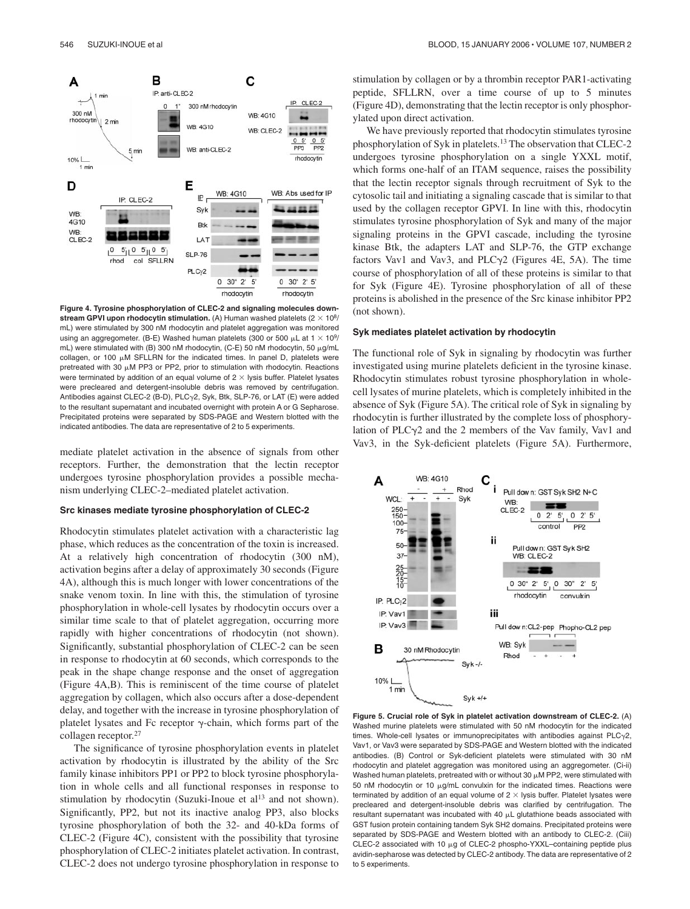

**Figure 4. Tyrosine phosphorylation of CLEC-2 and signaling molecules down**stream GPVI upon rhodocytin stimulation. (A) Human washed platelets  $(2 \times 10^8/$ mL) were stimulated by 300 nM rhodocytin and platelet aggregation was monitored using an aggregometer. (B-E) Washed human platelets (300 or 500  $\mu$ L at 1  $\times$  10<sup>9</sup>/ mL) were stimulated with (B) 300 nM rhodocytin, (C-E) 50 nM rhodocytin, 50  $\mu$ g/mL  $collagen$ , or 100  $µM$  SFLLRN for the indicated times. In panel D, platelets were pretreated with 30  $\mu$ M PP3 or PP2, prior to stimulation with rhodocytin. Reactions were terminated by addition of an equal volume of  $2 \times$  lysis buffer. Platelet lysates were precleared and detergent-insoluble debris was removed by centrifugation. Antibodies against CLEC-2 (B-D), PLC<sub>Y</sub>2, Syk, Btk, SLP-76, or LAT (E) were added to the resultant supernatant and incubated overnight with protein A or G Sepharose. Precipitated proteins were separated by SDS-PAGE and Western blotted with the indicated antibodies. The data are representative of 2 to 5 experiments.

mediate platelet activation in the absence of signals from other receptors. Further, the demonstration that the lectin receptor undergoes tyrosine phosphorylation provides a possible mechanism underlying CLEC-2–mediated platelet activation.

#### **Src kinases mediate tyrosine phosphorylation of CLEC-2**

Rhodocytin stimulates platelet activation with a characteristic lag phase, which reduces as the concentration of the toxin is increased. At a relatively high concentration of rhodocytin (300 nM), activation begins after a delay of approximately 30 seconds (Figure 4A), although this is much longer with lower concentrations of the snake venom toxin. In line with this, the stimulation of tyrosine phosphorylation in whole-cell lysates by rhodocytin occurs over a similar time scale to that of platelet aggregation, occurring more rapidly with higher concentrations of rhodocytin (not shown). Significantly, substantial phosphorylation of CLEC-2 can be seen in response to rhodocytin at 60 seconds, which corresponds to the peak in the shape change response and the onset of aggregation (Figure 4A,B). This is reminiscent of the time course of platelet aggregation by collagen, which also occurs after a dose-dependent delay, and together with the increase in tyrosine phosphorylation of platelet lysates and Fc receptor  $\gamma$ -chain, which forms part of the collagen receptor.27

The significance of tyrosine phosphorylation events in platelet activation by rhodocytin is illustrated by the ability of the Src family kinase inhibitors PP1 or PP2 to block tyrosine phosphorylation in whole cells and all functional responses in response to stimulation by rhodocytin (Suzuki-Inoue et al<sup>13</sup> and not shown). Significantly, PP2, but not its inactive analog PP3, also blocks tyrosine phosphorylation of both the 32- and 40-kDa forms of CLEC-2 (Figure 4C), consistent with the possibility that tyrosine phosphorylation of CLEC-2 initiates platelet activation. In contrast, CLEC-2 does not undergo tyrosine phosphorylation in response to

stimulation by collagen or by a thrombin receptor PAR1-activating peptide, SFLLRN, over a time course of up to 5 minutes (Figure 4D), demonstrating that the lectin receptor is only phosphorylated upon direct activation.

We have previously reported that rhodocytin stimulates tyrosine phosphorylation of Syk in platelets.13 The observation that CLEC-2 undergoes tyrosine phosphorylation on a single YXXL motif, which forms one-half of an ITAM sequence, raises the possibility that the lectin receptor signals through recruitment of Syk to the cytosolic tail and initiating a signaling cascade that is similar to that used by the collagen receptor GPVI. In line with this, rhodocytin stimulates tyrosine phosphorylation of Syk and many of the major signaling proteins in the GPVI cascade, including the tyrosine kinase Btk, the adapters LAT and SLP-76, the GTP exchange factors Vav1 and Vav3, and PLC $\gamma$ 2 (Figures 4E, 5A). The time course of phosphorylation of all of these proteins is similar to that for Syk (Figure 4E). Tyrosine phosphorylation of all of these proteins is abolished in the presence of the Src kinase inhibitor PP2 (not shown).

#### **Syk mediates platelet activation by rhodocytin**

The functional role of Syk in signaling by rhodocytin was further investigated using murine platelets deficient in the tyrosine kinase. Rhodocytin stimulates robust tyrosine phosphorylation in wholecell lysates of murine platelets, which is completely inhibited in the absence of Syk (Figure 5A). The critical role of Syk in signaling by rhodocytin is further illustrated by the complete loss of phosphorylation of PLC $\gamma$ 2 and the 2 members of the Vav family, Vav1 and Vav3, in the Syk-deficient platelets (Figure 5A). Furthermore,



**Figure 5. Crucial role of Syk in platelet activation downstream of CLEC-2.** (A) Washed murine platelets were stimulated with 50 nM rhodocytin for the indicated times. Whole-cell lysates or immunoprecipitates with antibodies against  $PLC<sub>Y</sub>2$ , Vav1, or Vav3 were separated by SDS-PAGE and Western blotted with the indicated antibodies. (B) Control or Syk-deficient platelets were stimulated with 30 nM rhodocytin and platelet aggregation was monitored using an aggregometer. (Ci-ii) Washed human platelets, pretreated with or without 30  $\mu$ M PP2, were stimulated with 50 nM rhodocytin or 10  $\mu$ q/mL convulxin for the indicated times. Reactions were terminated by addition of an equal volume of  $2 \times$  lysis buffer. Platelet lysates were precleared and detergent-insoluble debris was clarified by centrifugation. The  $r$ esultant supernatant was incubated with 40  $\mu$ L glutathione beads associated with GST fusion protein containing tandem Syk SH2 domains. Precipitated proteins were separated by SDS-PAGE and Western blotted with an antibody to CLEC-2. (Ciii) CLEC-2 associated with 10  $\mu$ g of CLEC-2 phospho-YXXL-containing peptide plus avidin-sepharose was detected by CLEC-2 antibody. The data are representative of 2 to 5 experiments.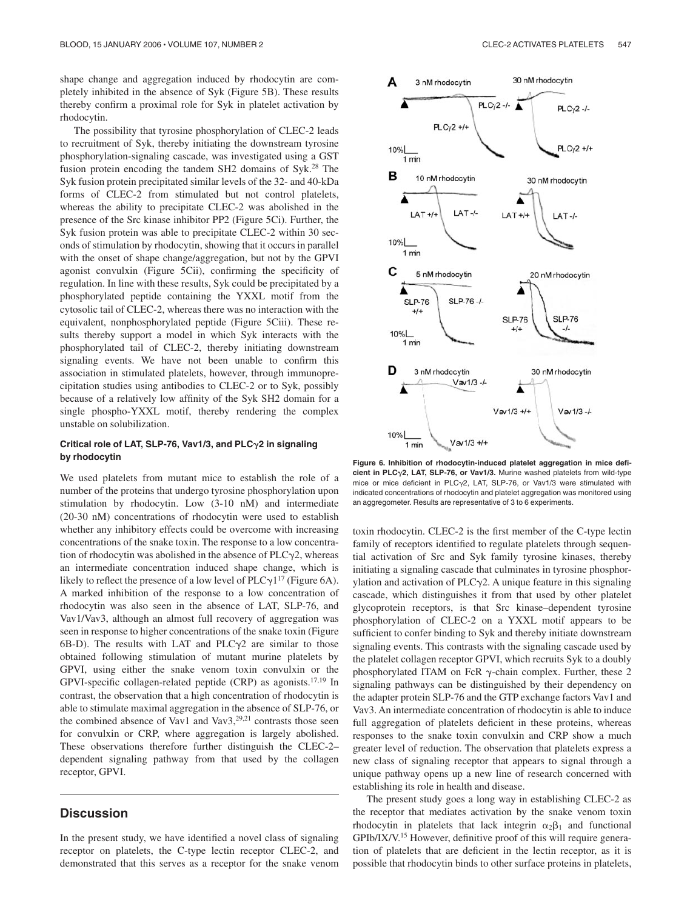shape change and aggregation induced by rhodocytin are completely inhibited in the absence of Syk (Figure 5B). These results thereby confirm a proximal role for Syk in platelet activation by rhodocytin.

The possibility that tyrosine phosphorylation of CLEC-2 leads to recruitment of Syk, thereby initiating the downstream tyrosine phosphorylation-signaling cascade, was investigated using a GST fusion protein encoding the tandem SH2 domains of Syk.28 The Syk fusion protein precipitated similar levels of the 32- and 40-kDa forms of CLEC-2 from stimulated but not control platelets, whereas the ability to precipitate CLEC-2 was abolished in the presence of the Src kinase inhibitor PP2 (Figure 5Ci). Further, the Syk fusion protein was able to precipitate CLEC-2 within 30 seconds of stimulation by rhodocytin, showing that it occurs in parallel with the onset of shape change/aggregation, but not by the GPVI agonist convulxin (Figure 5Cii), confirming the specificity of regulation. In line with these results, Syk could be precipitated by a phosphorylated peptide containing the YXXL motif from the cytosolic tail of CLEC-2, whereas there was no interaction with the equivalent, nonphosphorylated peptide (Figure 5Ciii). These results thereby support a model in which Syk interacts with the phosphorylated tail of CLEC-2, thereby initiating downstream signaling events. We have not been unable to confirm this association in stimulated platelets, however, through immunoprecipitation studies using antibodies to CLEC-2 or to Syk, possibly because of a relatively low affinity of the Syk SH2 domain for a single phospho-YXXL motif, thereby rendering the complex unstable on solubilization.

## **Critical role of LAT, SLP-76, Vav1/3, and PLC2 in signaling by rhodocytin**

We used platelets from mutant mice to establish the role of a number of the proteins that undergo tyrosine phosphorylation upon stimulation by rhodocytin. Low (3-10 nM) and intermediate (20-30 nM) concentrations of rhodocytin were used to establish whether any inhibitory effects could be overcome with increasing concentrations of the snake toxin. The response to a low concentration of rhodocytin was abolished in the absence of  $PLC_2$ , whereas an intermediate concentration induced shape change, which is likely to reflect the presence of a low level of  $PLC_1^{17}$  (Figure 6A). A marked inhibition of the response to a low concentration of rhodocytin was also seen in the absence of LAT, SLP-76, and Vav1/Vav3, although an almost full recovery of aggregation was seen in response to higher concentrations of the snake toxin (Figure  $6B-D$ ). The results with LAT and PLC $\gamma$ 2 are similar to those obtained following stimulation of mutant murine platelets by GPVI, using either the snake venom toxin convulxin or the GPVI-specific collagen-related peptide (CRP) as agonists.17,19 In contrast, the observation that a high concentration of rhodocytin is able to stimulate maximal aggregation in the absence of SLP-76, or the combined absence of Vav1 and Vav3, $29,21$  contrasts those seen for convulxin or CRP, where aggregation is largely abolished. These observations therefore further distinguish the CLEC-2– dependent signaling pathway from that used by the collagen receptor, GPVI.

# **Discussion**

In the present study, we have identified a novel class of signaling receptor on platelets, the C-type lectin receptor CLEC-2, and demonstrated that this serves as a receptor for the snake venom



**Figure 6. Inhibition of rhodocytin-induced platelet aggregation in mice deficient in PLC2, LAT, SLP-76, or Vav1/3.** Murine washed platelets from wild-type mice or mice deficient in PLC $\gamma$ 2, LAT, SLP-76, or Vav1/3 were stimulated with indicated concentrations of rhodocytin and platelet aggregation was monitored using an aggregometer. Results are representative of 3 to 6 experiments.

toxin rhodocytin. CLEC-2 is the first member of the C-type lectin family of receptors identified to regulate platelets through sequential activation of Src and Syk family tyrosine kinases, thereby initiating a signaling cascade that culminates in tyrosine phosphorylation and activation of  $PLC\gamma2$ . A unique feature in this signaling cascade, which distinguishes it from that used by other platelet glycoprotein receptors, is that Src kinase–dependent tyrosine phosphorylation of CLEC-2 on a YXXL motif appears to be sufficient to confer binding to Syk and thereby initiate downstream signaling events. This contrasts with the signaling cascade used by the platelet collagen receptor GPVI, which recruits Syk to a doubly phosphorylated ITAM on FcR  $\gamma$ -chain complex. Further, these 2 signaling pathways can be distinguished by their dependency on the adapter protein SLP-76 and the GTP exchange factors Vav1 and Vav3. An intermediate concentration of rhodocytin is able to induce full aggregation of platelets deficient in these proteins, whereas responses to the snake toxin convulxin and CRP show a much greater level of reduction. The observation that platelets express a new class of signaling receptor that appears to signal through a unique pathway opens up a new line of research concerned with establishing its role in health and disease.

The present study goes a long way in establishing CLEC-2 as the receptor that mediates activation by the snake venom toxin rhodocytin in platelets that lack integrin  $\alpha_2 \beta_1$  and functional GPIb/IX/V.15 However, definitive proof of this will require generation of platelets that are deficient in the lectin receptor, as it is possible that rhodocytin binds to other surface proteins in platelets,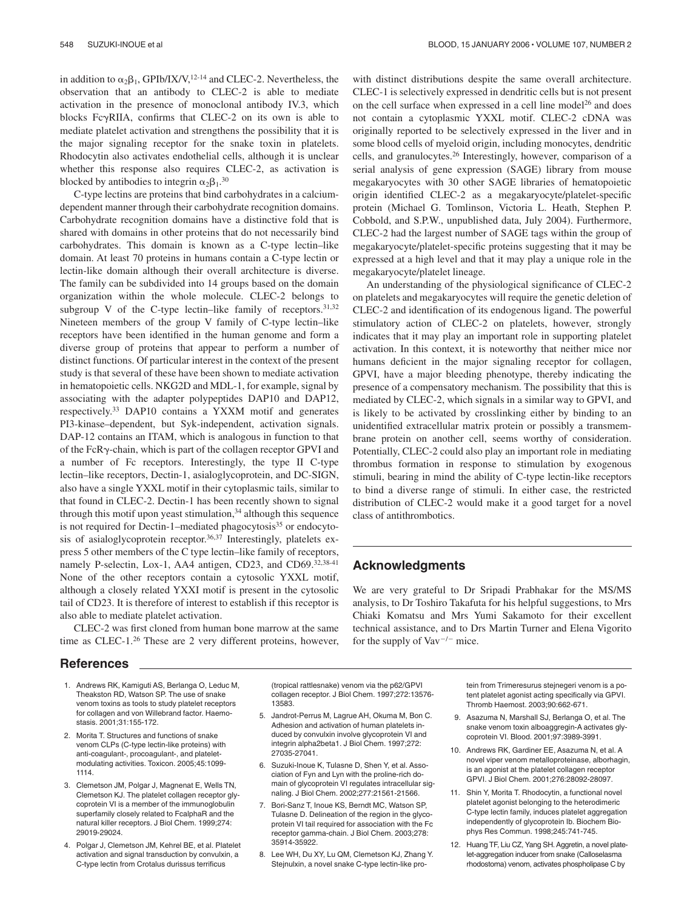in addition to  $\alpha_2\beta_1$ , GPIb/IX/V,<sup>12-14</sup> and CLEC-2. Nevertheless, the observation that an antibody to CLEC-2 is able to mediate activation in the presence of monoclonal antibody IV.3, which blocks  $Fc\gamma RIIA$ , confirms that CLEC-2 on its own is able to mediate platelet activation and strengthens the possibility that it is the major signaling receptor for the snake toxin in platelets. Rhodocytin also activates endothelial cells, although it is unclear whether this response also requires CLEC-2, as activation is blocked by antibodies to integrin  $\alpha_2\beta_1$ .<sup>30</sup>

C-type lectins are proteins that bind carbohydrates in a calciumdependent manner through their carbohydrate recognition domains. Carbohydrate recognition domains have a distinctive fold that is shared with domains in other proteins that do not necessarily bind carbohydrates. This domain is known as a C-type lectin–like domain. At least 70 proteins in humans contain a C-type lectin or lectin-like domain although their overall architecture is diverse. The family can be subdivided into 14 groups based on the domain organization within the whole molecule. CLEC-2 belongs to subgroup V of the C-type lectin–like family of receptors. $31,32$ Nineteen members of the group V family of C-type lectin–like receptors have been identified in the human genome and form a diverse group of proteins that appear to perform a number of distinct functions. Of particular interest in the context of the present study is that several of these have been shown to mediate activation in hematopoietic cells. NKG2D and MDL-1, for example, signal by associating with the adapter polypeptides DAP10 and DAP12, respectively.33 DAP10 contains a YXXM motif and generates PI3-kinase–dependent, but Syk-independent, activation signals. DAP-12 contains an ITAM, which is analogous in function to that of the  $FcR\gamma$ -chain, which is part of the collagen receptor GPVI and a number of Fc receptors. Interestingly, the type II C-type lectin–like receptors, Dectin-1, asialoglycoprotein, and DC-SIGN, also have a single YXXL motif in their cytoplasmic tails, similar to that found in CLEC-2. Dectin-1 has been recently shown to signal through this motif upon yeast stimulation, $34$  although this sequence is not required for Dectin-1–mediated phagocytosis<sup>35</sup> or endocytosis of asialoglycoprotein receptor.36,37 Interestingly, platelets express 5 other members of the C type lectin–like family of receptors, namely P-selectin, Lox-1, AA4 antigen, CD23, and CD69.<sup>32,38-41</sup> None of the other receptors contain a cytosolic YXXL motif, although a closely related YXXI motif is present in the cytosolic tail of CD23. It is therefore of interest to establish if this receptor is also able to mediate platelet activation.

CLEC-2 was first cloned from human bone marrow at the same time as CLEC-1.26 These are 2 very different proteins, however,

## **References**

- 1. Andrews RK, Kamiguti AS, Berlanga O, Leduc M, Theakston RD, Watson SP. The use of snake venom toxins as tools to study platelet receptors for collagen and von Willebrand factor. Haemostasis. 2001;31:155-172.
- 2. Morita T. Structures and functions of snake venom CLPs (C-type lectin-like proteins) with anti-coagulant-, procoagulant-, and plateletmodulating activities. Toxicon. 2005;45:1099- 1114.
- 3. Clemetson JM, Polgar J, Magnenat E, Wells TN, Clemetson KJ. The platelet collagen receptor glycoprotein VI is a member of the immunoglobulin superfamily closely related to FcalphaR and the natural killer receptors. J Biol Chem. 1999;274: 29019-29024.
- 4. Polgar J, Clemetson JM, Kehrel BE, et al. Platelet activation and signal transduction by convulxin, a C-type lectin from Crotalus durissus terrificus

(tropical rattlesnake) venom via the p62/GPVI collagen receptor. J Biol Chem. 1997;272:13576- 13583.

- 5. Jandrot-Perrus M, Lagrue AH, Okuma M, Bon C. Adhesion and activation of human platelets induced by convulxin involve glycoprotein VI and integrin alpha2beta1. J Biol Chem. 1997;272: 27035-27041.
- 6. Suzuki-Inoue K, Tulasne D, Shen Y, et al. Association of Fyn and Lyn with the proline-rich domain of glycoprotein VI regulates intracellular signaling. J Biol Chem. 2002;277:21561-21566.
- 7. Bori-Sanz T, Inoue KS, Berndt MC, Watson SP, Tulasne D. Delineation of the region in the glycoprotein VI tail required for association with the Fc receptor gamma-chain. J Biol Chem. 2003;278: 35914-35922.
- 8. Lee WH, Du XY, Lu QM, Clemetson KJ, Zhang Y. Stejnulxin, a novel snake C-type lectin-like pro-

with distinct distributions despite the same overall architecture. CLEC-1 is selectively expressed in dendritic cells but is not present on the cell surface when expressed in a cell line model<sup>26</sup> and does not contain a cytoplasmic YXXL motif. CLEC-2 cDNA was originally reported to be selectively expressed in the liver and in some blood cells of myeloid origin, including monocytes, dendritic cells, and granulocytes.26 Interestingly, however, comparison of a serial analysis of gene expression (SAGE) library from mouse megakaryocytes with 30 other SAGE libraries of hematopoietic origin identified CLEC-2 as a megakaryocyte/platelet-specific protein (Michael G. Tomlinson, Victoria L. Heath, Stephen P. Cobbold, and S.P.W., unpublished data, July 2004). Furthermore, CLEC-2 had the largest number of SAGE tags within the group of megakaryocyte/platelet-specific proteins suggesting that it may be expressed at a high level and that it may play a unique role in the megakaryocyte/platelet lineage.

An understanding of the physiological significance of CLEC-2 on platelets and megakaryocytes will require the genetic deletion of CLEC-2 and identification of its endogenous ligand. The powerful stimulatory action of CLEC-2 on platelets, however, strongly indicates that it may play an important role in supporting platelet activation. In this context, it is noteworthy that neither mice nor humans deficient in the major signaling receptor for collagen, GPVI, have a major bleeding phenotype, thereby indicating the presence of a compensatory mechanism. The possibility that this is mediated by CLEC-2, which signals in a similar way to GPVI, and is likely to be activated by crosslinking either by binding to an unidentified extracellular matrix protein or possibly a transmembrane protein on another cell, seems worthy of consideration. Potentially, CLEC-2 could also play an important role in mediating thrombus formation in response to stimulation by exogenous stimuli, bearing in mind the ability of C-type lectin-like receptors to bind a diverse range of stimuli. In either case, the restricted distribution of CLEC-2 would make it a good target for a novel class of antithrombotics.

# **Acknowledgments**

We are very grateful to Dr Sripadi Prabhakar for the MS/MS analysis, to Dr Toshiro Takafuta for his helpful suggestions, to Mrs Chiaki Komatsu and Mrs Yumi Sakamoto for their excellent technical assistance, and to Drs Martin Turner and Elena Vigorito for the supply of  $\text{Vav}^{-/-}$  mice.

> tein from Trimeresurus stejnegeri venom is a potent platelet agonist acting specifically via GPVI. Thromb Haemost. 2003;90:662-671.

- 9. Asazuma N, Marshall SJ, Berlanga O, et al. The snake venom toxin alboaggregin-A activates glycoprotein VI. Blood. 2001;97:3989-3991.
- 10. Andrews RK, Gardiner EE, Asazuma N, et al. A novel viper venom metalloproteinase, alborhagin, is an agonist at the platelet collagen receptor GPVI. J Biol Chem. 2001;276:28092-28097.
- 11. Shin Y, Morita T. Rhodocytin, a functional novel platelet agonist belonging to the heterodimeric C-type lectin family, induces platelet aggregation independently of glycoprotein Ib. Biochem Biophys Res Commun. 1998;245:741-745.
- 12. Huang TF, Liu CZ, Yang SH. Aggretin, a novel platelet-aggregation inducer from snake (Calloselasma rhodostoma) venom, activates phospholipase C by